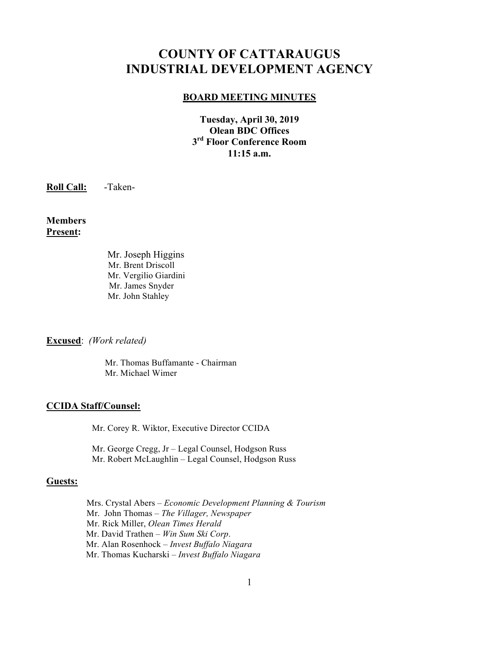# **COUNTY OF CATTARAUGUS INDUSTRIAL DEVELOPMENT AGENCY**

#### **BOARD MEETING MINUTES**

**Tuesday, April 30, 2019 Olean BDC Offices 3rd Floor Conference Room 11:15 a.m.**

**Roll Call:** -Taken-

**Members Present:**

> Mr. Joseph Higgins Mr. Brent Driscoll Mr. Vergilio Giardini Mr. James Snyder Mr. John Stahley

**Excused**: *(Work related)*

 Mr. Thomas Buffamante - Chairman Mr. Michael Wimer

#### **CCIDA Staff/Counsel:**

Mr. Corey R. Wiktor, Executive Director CCIDA

Mr. George Cregg, Jr – Legal Counsel, Hodgson Russ Mr. Robert McLaughlin – Legal Counsel, Hodgson Russ

#### **Guests:**

Mrs. Crystal Abers – *Economic Development Planning & Tourism* Mr. John Thomas – *The Villager, Newspaper* Mr. Rick Miller, *Olean Times Herald* Mr. David Trathen – *Win Sum Ski Corp*. Mr. Alan Rosenhock – *Invest Buffalo Niagara* Mr. Thomas Kucharski – *Invest Buffalo Niagara*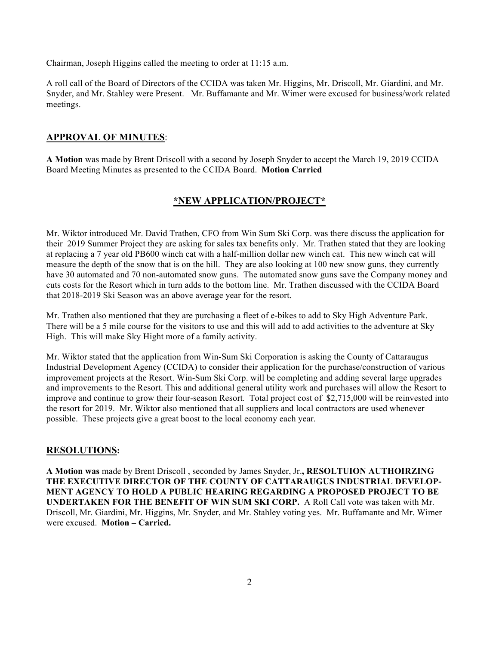Chairman, Joseph Higgins called the meeting to order at 11:15 a.m.

A roll call of the Board of Directors of the CCIDA was taken Mr. Higgins, Mr. Driscoll, Mr. Giardini, and Mr. Snyder, and Mr. Stahley were Present. Mr. Buffamante and Mr. Wimer were excused for business/work related meetings.

#### **APPROVAL OF MINUTES**:

**A Motion** was made by Brent Driscoll with a second by Joseph Snyder to accept the March 19, 2019 CCIDA Board Meeting Minutes as presented to the CCIDA Board. **Motion Carried**

## **\*NEW APPLICATION/PROJECT\***

Mr. Wiktor introduced Mr. David Trathen, CFO from Win Sum Ski Corp. was there discuss the application for their 2019 Summer Project they are asking for sales tax benefits only. Mr. Trathen stated that they are looking at replacing a 7 year old PB600 winch cat with a half-million dollar new winch cat. This new winch cat will measure the depth of the snow that is on the hill. They are also looking at 100 new snow guns, they currently have 30 automated and 70 non-automated snow guns. The automated snow guns save the Company money and cuts costs for the Resort which in turn adds to the bottom line. Mr. Trathen discussed with the CCIDA Board that 2018-2019 Ski Season was an above average year for the resort.

Mr. Trathen also mentioned that they are purchasing a fleet of e-bikes to add to Sky High Adventure Park. There will be a 5 mile course for the visitors to use and this will add to add activities to the adventure at Sky High. This will make Sky Hight more of a family activity.

Mr. Wiktor stated that the application from Win-Sum Ski Corporation is asking the County of Cattaraugus Industrial Development Agency (CCIDA) to consider their application for the purchase/construction of various improvement projects at the Resort. Win-Sum Ski Corp. will be completing and adding several large upgrades and improvements to the Resort. This and additional general utility work and purchases will allow the Resort to improve and continue to grow their four-season Resort*.* Total project cost of \$2,715,000 will be reinvested into the resort for 2019. Mr. Wiktor also mentioned that all suppliers and local contractors are used whenever possible. These projects give a great boost to the local economy each year.

#### **RESOLUTIONS:**

**A Motion was** made by Brent Driscoll , seconded by James Snyder, Jr.**, RESOLTUION AUTHOIRZING THE EXECUTIVE DIRECTOR OF THE COUNTY OF CATTARAUGUS INDUSTRIAL DEVELOP-MENT AGENCY TO HOLD A PUBLIC HEARING REGARDING A PROPOSED PROJECT TO BE UNDERTAKEN FOR THE BENEFIT OF WIN SUM SKI CORP.** A Roll Call vote was taken with Mr. Driscoll, Mr. Giardini, Mr. Higgins, Mr. Snyder, and Mr. Stahley voting yes. Mr. Buffamante and Mr. Wimer were excused. **Motion – Carried.**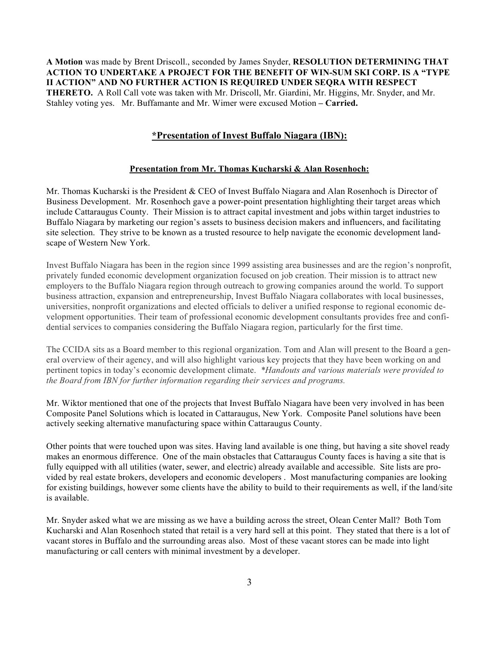**A Motion** was made by Brent Driscoll., seconded by James Snyder, **RESOLUTION DETERMINING THAT ACTION TO UNDERTAKE A PROJECT FOR THE BENEFIT OF WIN-SUM SKI CORP. IS A "TYPE II ACTION" AND NO FURTHER ACTION IS REQUIRED UNDER SEQRA WITH RESPECT THERETO.** A Roll Call vote was taken with Mr. Driscoll, Mr. Giardini, Mr. Higgins, Mr. Snyder, and Mr. Stahley voting yes. Mr. Buffamante and Mr. Wimer were excused Motion **– Carried.**

#### **\*Presentation of Invest Buffalo Niagara (IBN):**

#### **Presentation from Mr. Thomas Kucharski & Alan Rosenhoch:**

Mr. Thomas Kucharski is the President & CEO of Invest Buffalo Niagara and Alan Rosenhoch is Director of Business Development. Mr. Rosenhoch gave a power-point presentation highlighting their target areas which include Cattaraugus County. Their Mission is to attract capital investment and jobs within target industries to Buffalo Niagara by marketing our region's assets to business decision makers and influencers, and facilitating site selection. They strive to be known as a trusted resource to help navigate the economic development landscape of Western New York.

Invest Buffalo Niagara has been in the region since 1999 assisting area businesses and are the region's nonprofit, privately funded economic development organization focused on job creation. Their mission is to attract new employers to the Buffalo Niagara region through outreach to growing companies around the world. To support business attraction, expansion and entrepreneurship, Invest Buffalo Niagara collaborates with local businesses, universities, nonprofit organizations and elected officials to deliver a unified response to regional economic development opportunities. Their team of professional economic development consultants provides free and confidential services to companies considering the Buffalo Niagara region, particularly for the first time.

The CCIDA sits as a Board member to this regional organization. Tom and Alan will present to the Board a general overview of their agency, and will also highlight various key projects that they have been working on and pertinent topics in today's economic development climate. *\*Handouts and various materials were provided to the Board from IBN for further information regarding their services and programs.*

Mr. Wiktor mentioned that one of the projects that Invest Buffalo Niagara have been very involved in has been Composite Panel Solutions which is located in Cattaraugus, New York. Composite Panel solutions have been actively seeking alternative manufacturing space within Cattaraugus County.

Other points that were touched upon was sites. Having land available is one thing, but having a site shovel ready makes an enormous difference. One of the main obstacles that Cattaraugus County faces is having a site that is fully equipped with all utilities (water, sewer, and electric) already available and accessible. Site lists are provided by real estate brokers, developers and economic developers . Most manufacturing companies are looking for existing buildings, however some clients have the ability to build to their requirements as well, if the land/site is available.

Mr. Snyder asked what we are missing as we have a building across the street, Olean Center Mall? Both Tom Kucharski and Alan Rosenhoch stated that retail is a very hard sell at this point. They stated that there is a lot of vacant stores in Buffalo and the surrounding areas also. Most of these vacant stores can be made into light manufacturing or call centers with minimal investment by a developer.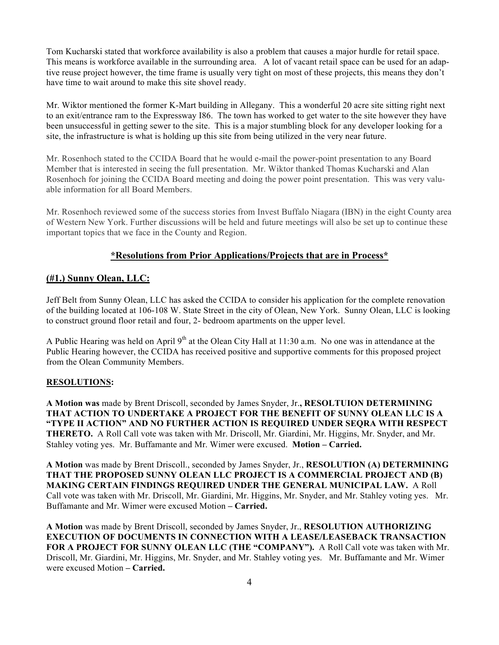Tom Kucharski stated that workforce availability is also a problem that causes a major hurdle for retail space. This means is workforce available in the surrounding area. A lot of vacant retail space can be used for an adaptive reuse project however, the time frame is usually very tight on most of these projects, this means they don't have time to wait around to make this site shovel ready.

Mr. Wiktor mentioned the former K-Mart building in Allegany. This a wonderful 20 acre site sitting right next to an exit/entrance ram to the Expressway I86. The town has worked to get water to the site however they have been unsuccessful in getting sewer to the site. This is a major stumbling block for any developer looking for a site, the infrastructure is what is holding up this site from being utilized in the very near future.

Mr. Rosenhoch stated to the CCIDA Board that he would e-mail the power-point presentation to any Board Member that is interested in seeing the full presentation. Mr. Wiktor thanked Thomas Kucharski and Alan Rosenhoch for joining the CCIDA Board meeting and doing the power point presentation. This was very valuable information for all Board Members.

Mr. Rosenhoch reviewed some of the success stories from Invest Buffalo Niagara (IBN) in the eight County area of Western New York. Further discussions will be held and future meetings will also be set up to continue these important topics that we face in the County and Region.

## **\*Resolutions from Prior Applications/Projects that are in Process\***

## **(#1.) Sunny Olean, LLC:**

Jeff Belt from Sunny Olean, LLC has asked the CCIDA to consider his application for the complete renovation of the building located at 106-108 W. State Street in the city of Olean, New York. Sunny Olean, LLC is looking to construct ground floor retail and four, 2- bedroom apartments on the upper level.

A Public Hearing was held on April 9<sup>th</sup> at the Olean City Hall at 11:30 a.m. No one was in attendance at the Public Hearing however, the CCIDA has received positive and supportive comments for this proposed project from the Olean Community Members.

#### **RESOLUTIONS:**

**A Motion was** made by Brent Driscoll, seconded by James Snyder, Jr.**, RESOLTUION DETERMINING THAT ACTION TO UNDERTAKE A PROJECT FOR THE BENEFIT OF SUNNY OLEAN LLC IS A "TYPE II ACTION" AND NO FURTHER ACTION IS REQUIRED UNDER SEQRA WITH RESPECT THERETO.** A Roll Call vote was taken with Mr. Driscoll, Mr. Giardini, Mr. Higgins, Mr. Snyder, and Mr. Stahley voting yes. Mr. Buffamante and Mr. Wimer were excused. **Motion – Carried.**

**A Motion** was made by Brent Driscoll., seconded by James Snyder, Jr., **RESOLUTION (A) DETERMINING THAT THE PROPOSED SUNNY OLEAN LLC PROJECT IS A COMMERCIAL PROJECT AND (B) MAKING CERTAIN FINDINGS REQUIRED UNDER THE GENERAL MUNICIPAL LAW.** A Roll Call vote was taken with Mr. Driscoll, Mr. Giardini, Mr. Higgins, Mr. Snyder, and Mr. Stahley voting yes. Mr. Buffamante and Mr. Wimer were excused Motion **– Carried.**

**A Motion** was made by Brent Driscoll, seconded by James Snyder, Jr., **RESOLUTION AUTHORIZING EXECUTION OF DOCUMENTS IN CONNECTION WITH A LEASE/LEASEBACK TRANSACTION FOR A PROJECT FOR SUNNY OLEAN LLC (THE "COMPANY").** A Roll Call vote was taken with Mr. Driscoll, Mr. Giardini, Mr. Higgins, Mr. Snyder, and Mr. Stahley voting yes. Mr. Buffamante and Mr. Wimer were excused Motion **– Carried.**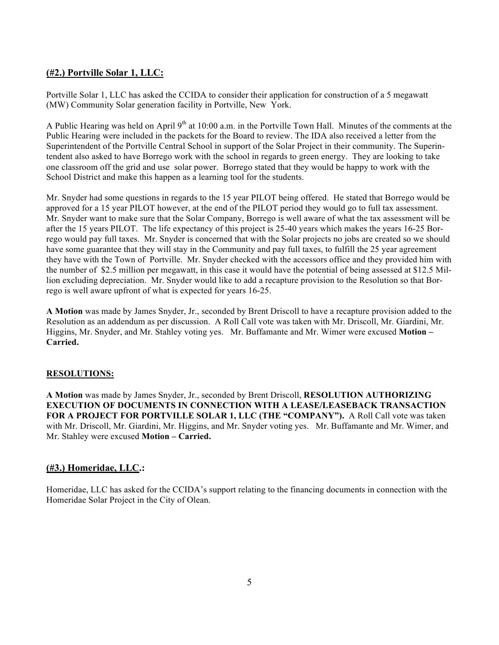## **(#2.) Portville Solar 1, LLC:**

Portville Solar 1, LLC has asked the CCIDA to consider their application for construction of a 5 megawatt (MW) Community Solar generation facility in Portville, New York.

A Public Hearing was held on April 9<sup>th</sup> at 10:00 a.m. in the Portville Town Hall. Minutes of the comments at the Public Hearing were included in the packets for the Board to review. The IDA also received a letter from the Superintendent of the Portville Central School in support of the Solar Project in their community. The Superintendent also asked to have Borrego work with the school in regards to green energy. They are looking to take one classroom off the grid and use solar power. Borrego stated that they would be happy to work with the School District and make this happen as a learning tool for the students.

Mr. Snyder had some questions in regards to the 15 year PILOT being offered. He stated that Borrego would be approved for a 15 year PILOT however, at the end of the PILOT period they would go to full tax assessment. Mr. Snyder want to make sure that the Solar Company, Borrego is well aware of what the tax assessment will be after the 15 years PILOT. The life expectancy of this project is 25-40 years which makes the years 16-25 Borrego would pay full taxes. Mr. Snyder is concerned that with the Solar projects no jobs are created so we should have some guarantee that they will stay in the Community and pay full taxes, to fulfill the 25 year agreement they have with the Town of Portville. Mr. Snyder checked with the accessors office and they provided him with the number of \$2.5 million per megawatt, in this case it would have the potential of being assessed at \$12.5 Million excluding depreciation. Mr. Snyder would like to add a recapture provision to the Resolution so that Borrego is well aware upfront of what is expected for years 16-25.

**A Motion** was made by James Snyder, Jr., seconded by Brent Driscoll to have a recapture provision added to the Resolution as an addendum as per discussion. A Roll Call vote was taken with Mr. Driscoll, Mr. Giardini, Mr. Higgins, Mr. Snyder, and Mr. Stahley voting yes. Mr. Buffamante and Mr. Wimer were excused **Motion – Carried.**

#### **RESOLUTIONS:**

**A Motion** was made by James Snyder, Jr., seconded by Brent Driscoll, **RESOLUTION AUTHORIZING EXECUTION OF DOCUMENTS IN CONNECTION WITH A LEASE/LEASEBACK TRANSACTION FOR A PROJECT FOR PORTVILLE SOLAR 1, LLC (THE "COMPANY").** A Roll Call vote was taken with Mr. Driscoll, Mr. Giardini, Mr. Higgins, and Mr. Snyder voting yes. Mr. Buffamante and Mr. Wimer, and Mr. Stahley were excused **Motion – Carried.**

#### **(#3.) Homeridae, LLC.:**

Homeridae, LLC has asked for the CCIDA's support relating to the financing documents in connection with the Homeridae Solar Project in the City of Olean.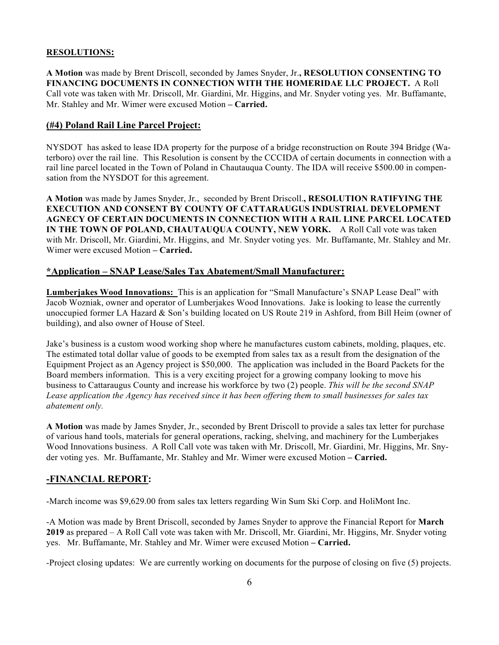#### **RESOLUTIONS:**

**A Motion** was made by Brent Driscoll, seconded by James Snyder, Jr.**, RESOLUTION CONSENTING TO FINANCING DOCUMENTS IN CONNECTION WITH THE HOMERIDAE LLC PROJECT.** A Roll Call vote was taken with Mr. Driscoll, Mr. Giardini, Mr. Higgins, and Mr. Snyder voting yes. Mr. Buffamante, Mr. Stahley and Mr. Wimer were excused Motion **– Carried.**

## **(#4) Poland Rail Line Parcel Project:**

NYSDOT has asked to lease IDA property for the purpose of a bridge reconstruction on Route 394 Bridge (Waterboro) over the rail line. This Resolution is consent by the CCCIDA of certain documents in connection with a rail line parcel located in the Town of Poland in Chautauqua County. The IDA will receive \$500.00 in compensation from the NYSDOT for this agreement.

**A Motion** was made by James Snyder, Jr., seconded by Brent Driscoll.**, RESOLUTION RATIFYING THE EXECUTION AND CONSENT BY COUNTY OF CATTARAUGUS INDUSTRIAL DEVELOPMENT AGNECY OF CERTAIN DOCUMENTS IN CONNECTION WITH A RAIL LINE PARCEL LOCATED IN THE TOWN OF POLAND, CHAUTAUQUA COUNTY, NEW YORK.** A Roll Call vote was taken with Mr. Driscoll, Mr. Giardini, Mr. Higgins, and Mr. Snyder voting yes. Mr. Buffamante, Mr. Stahley and Mr. Wimer were excused Motion **– Carried.**

## **\*Application – SNAP Lease/Sales Tax Abatement/Small Manufacturer:**

**Lumberjakes Wood Innovations:** This is an application for "Small Manufacture's SNAP Lease Deal" with Jacob Wozniak, owner and operator of Lumberjakes Wood Innovations. Jake is looking to lease the currently unoccupied former LA Hazard & Son's building located on US Route 219 in Ashford, from Bill Heim (owner of building), and also owner of House of Steel.

Jake's business is a custom wood working shop where he manufactures custom cabinets, molding, plaques, etc. The estimated total dollar value of goods to be exempted from sales tax as a result from the designation of the Equipment Project as an Agency project is \$50,000. The application was included in the Board Packets for the Board members information. This is a very exciting project for a growing company looking to move his business to Cattaraugus County and increase his workforce by two (2) people. *This will be the second SNAP Lease application the Agency has received since it has been offering them to small businesses for sales tax abatement only.*

**A Motion** was made by James Snyder, Jr., seconded by Brent Driscoll to provide a sales tax letter for purchase of various hand tools, materials for general operations, racking, shelving, and machinery for the Lumberjakes Wood Innovations business.A Roll Call vote was taken with Mr. Driscoll, Mr. Giardini, Mr. Higgins, Mr. Snyder voting yes. Mr. Buffamante, Mr. Stahley and Mr. Wimer were excused Motion **– Carried.**

## **-FINANCIAL REPORT:**

-March income was \$9,629.00 from sales tax letters regarding Win Sum Ski Corp. and HoliMont Inc.

-A Motion was made by Brent Driscoll, seconded by James Snyder to approve the Financial Report for **March 2019** as prepared – A Roll Call vote was taken with Mr. Driscoll, Mr. Giardini, Mr. Higgins, Mr. Snyder voting yes. Mr. Buffamante, Mr. Stahley and Mr. Wimer were excused Motion **– Carried.**

-Project closing updates: We are currently working on documents for the purpose of closing on five (5) projects.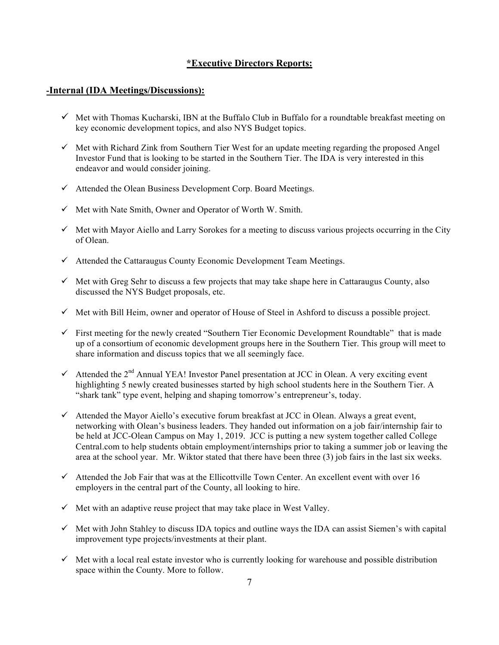## **\*Executive Directors Reports:**

#### **-Internal (IDA Meetings/Discussions):**

- $\checkmark$  Met with Thomas Kucharski, IBN at the Buffalo Club in Buffalo for a roundtable breakfast meeting on key economic development topics, and also NYS Budget topics.
- $\checkmark$  Met with Richard Zink from Southern Tier West for an update meeting regarding the proposed Angel Investor Fund that is looking to be started in the Southern Tier. The IDA is very interested in this endeavor and would consider joining.
- $\checkmark$  Attended the Olean Business Development Corp. Board Meetings.
- $\checkmark$  Met with Nate Smith, Owner and Operator of Worth W. Smith.
- $\checkmark$  Met with Mayor Aiello and Larry Sorokes for a meeting to discuss various projects occurring in the City of Olean.
- $\checkmark$  Attended the Cattaraugus County Economic Development Team Meetings.
- $\checkmark$  Met with Greg Sehr to discuss a few projects that may take shape here in Cattaraugus County, also discussed the NYS Budget proposals, etc.
- $\checkmark$  Met with Bill Heim, owner and operator of House of Steel in Ashford to discuss a possible project.
- $\checkmark$  First meeting for the newly created "Southern Tier Economic Development Roundtable" that is made up of a consortium of economic development groups here in the Southern Tier. This group will meet to share information and discuss topics that we all seemingly face.
- $\checkmark$  Attended the 2<sup>nd</sup> Annual YEA! Investor Panel presentation at JCC in Olean. A very exciting event highlighting 5 newly created businesses started by high school students here in the Southern Tier. A "shark tank" type event, helping and shaping tomorrow's entrepreneur's, today.
- $\checkmark$  Attended the Mayor Aiello's executive forum breakfast at JCC in Olean. Always a great event, networking with Olean's business leaders. They handed out information on a job fair/internship fair to be held at JCC-Olean Campus on May 1, 2019. JCC is putting a new system together called College Central.com to help students obtain employment/internships prior to taking a summer job or leaving the area at the school year. Mr. Wiktor stated that there have been three (3) job fairs in the last six weeks.
- $\checkmark$  Attended the Job Fair that was at the Ellicottville Town Center. An excellent event with over 16 employers in the central part of the County, all looking to hire.
- $\checkmark$  Met with an adaptive reuse project that may take place in West Valley.
- $\checkmark$  Met with John Stahley to discuss IDA topics and outline ways the IDA can assist Siemen's with capital improvement type projects/investments at their plant.
- $\checkmark$  Met with a local real estate investor who is currently looking for warehouse and possible distribution space within the County. More to follow.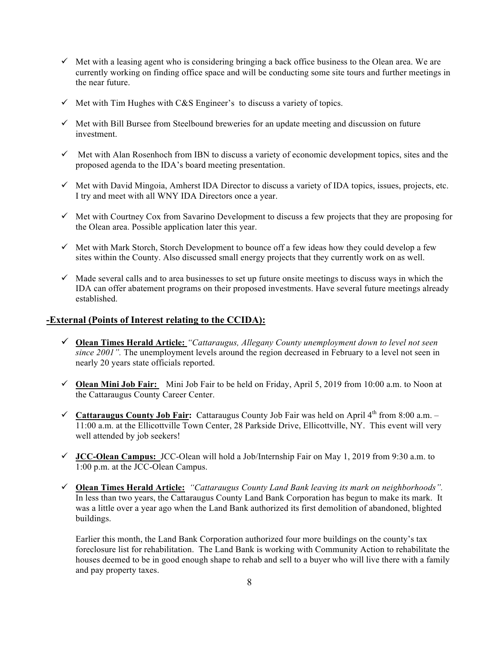- $\checkmark$  Met with a leasing agent who is considering bringing a back office business to the Olean area. We are currently working on finding office space and will be conducting some site tours and further meetings in the near future.
- $\checkmark$  Met with Tim Hughes with C&S Engineer's to discuss a variety of topics.
- $\checkmark$  Met with Bill Bursee from Steelbound breweries for an update meeting and discussion on future investment.
- $\checkmark$  Met with Alan Rosenhoch from IBN to discuss a variety of economic development topics, sites and the proposed agenda to the IDA's board meeting presentation.
- $\checkmark$  Met with David Mingoia, Amherst IDA Director to discuss a variety of IDA topics, issues, projects, etc. I try and meet with all WNY IDA Directors once a year.
- $\checkmark$  Met with Courtney Cox from Savarino Development to discuss a few projects that they are proposing for the Olean area. Possible application later this year.
- $\checkmark$  Met with Mark Storch, Storch Development to bounce off a few ideas how they could develop a few sites within the County. Also discussed small energy projects that they currently work on as well.
- $\checkmark$  Made several calls and to area businesses to set up future onsite meetings to discuss ways in which the IDA can offer abatement programs on their proposed investments. Have several future meetings already established.

#### **-External (Points of Interest relating to the CCIDA):**

- ! **Olean Times Herald Article:** *"Cattaraugus, Allegany County unemployment down to level not seen since 2001"*. The unemployment levels around the region decreased in February to a level not seen in nearly 20 years state officials reported.
- ! **Olean Mini Job Fair:** Mini Job Fair to be held on Friday, April 5, 2019 from 10:00 a.m. to Noon at the Cattaraugus County Career Center.
- ! **Cattaraugus County Job Fair:** Cattaraugus County Job Fair was held on April 4th from 8:00 a.m. 11:00 a.m. at the Ellicottville Town Center, 28 Parkside Drive, Ellicottville, NY. This event will very well attended by job seekers!
- ! **JCC-Olean Campus:** JCC-Olean will hold a Job/Internship Fair on May 1, 2019 from 9:30 a.m. to 1:00 p.m. at the JCC-Olean Campus.
- ! **Olean Times Herald Article:** *"Cattaraugus County Land Bank leaving its mark on neighborhoods".*  In less than two years, the Cattaraugus County Land Bank Corporation has begun to make its mark. It was a little over a year ago when the Land Bank authorized its first demolition of abandoned, blighted buildings.

Earlier this month, the Land Bank Corporation authorized four more buildings on the county's tax foreclosure list for rehabilitation. The Land Bank is working with Community Action to rehabilitate the houses deemed to be in good enough shape to rehab and sell to a buyer who will live there with a family and pay property taxes.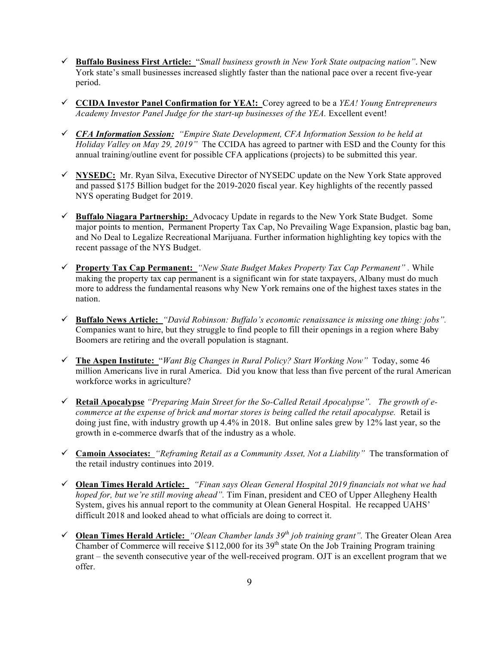- ! **Buffalo Business First Article:** "*Small business growth in New York State outpacing nation"*. New York state's small businesses increased slightly faster than the national pace over a recent five-year period.
- ! **CCIDA Investor Panel Confirmation for YEA!:**Corey agreed to be a *YEA! Young Entrepreneurs Academy Investor Panel Judge for the start-up businesses of the YEA.* Excellent event!
- ! *CFA Information Session: "Empire State Development, CFA Information Session to be held at Holiday Valley on May 29, 2019"* The CCIDA has agreed to partner with ESD and the County for this annual training/outline event for possible CFA applications (projects) to be submitted this year.
- ! **NYSEDC:** Mr. Ryan Silva, Executive Director of NYSEDC update on the New York State approved and passed \$175 Billion budget for the 2019-2020 fiscal year. Key highlights of the recently passed NYS operating Budget for 2019.
- ! **Buffalo Niagara Partnership:** Advocacy Update in regards to the New York State Budget. Some major points to mention, Permanent Property Tax Cap, No Prevailing Wage Expansion, plastic bag ban, and No Deal to Legalize Recreational Marijuana. Further information highlighting key topics with the recent passage of the NYS Budget.
- ! **Property Tax Cap Permanent:** *"New State Budget Makes Property Tax Cap Permanent" .* While making the property tax cap permanent is a significant win for state taxpayers, Albany must do much more to address the fundamental reasons why New York remains one of the highest taxes states in the nation.
- ! **Buffalo News Article:** *"David Robinson: Buffalo's economic renaissance is missing one thing: jobs".* Companies want to hire, but they struggle to find people to fill their openings in a region where Baby Boomers are retiring and the overall population is stagnant.
- ! **The Aspen Institute:**"*Want Big Changes in Rural Policy? Start Working Now"* Today, some 46 million Americans live in rural America. Did you know that less than five percent of the rural American workforce works in agriculture?
- ! **Retail Apocalypse** *"Preparing Main Street for the So-Called Retail Apocalypse". The growth of ecommerce at the expense of brick and mortar stores is being called the retail apocalypse.* Retail is doing just fine, with industry growth up 4.4% in 2018. But online sales grew by 12% last year, so the growth in e-commerce dwarfs that of the industry as a whole.
- ! **Camoin Associates:** *"Reframing Retail as a Community Asset, Not a Liability"* The transformation of the retail industry continues into 2019.
- ! **Olean Times Herald Article:** *"Finan says Olean General Hospital 2019 financials not what we had hoped for, but we're still moving ahead".* Tim Finan, president and CEO of Upper Allegheny Health System, gives his annual report to the community at Olean General Hospital. He recapped UAHS' difficult 2018 and looked ahead to what officials are doing to correct it.
- ! **Olean Times Herald Article:** *"Olean Chamber lands 39th job training grant".* The Greater Olean Area Chamber of Commerce will receive  $$112,000$  for its 39<sup>th</sup> state On the Job Training Program training grant – the seventh consecutive year of the well-received program. OJT is an excellent program that we offer.